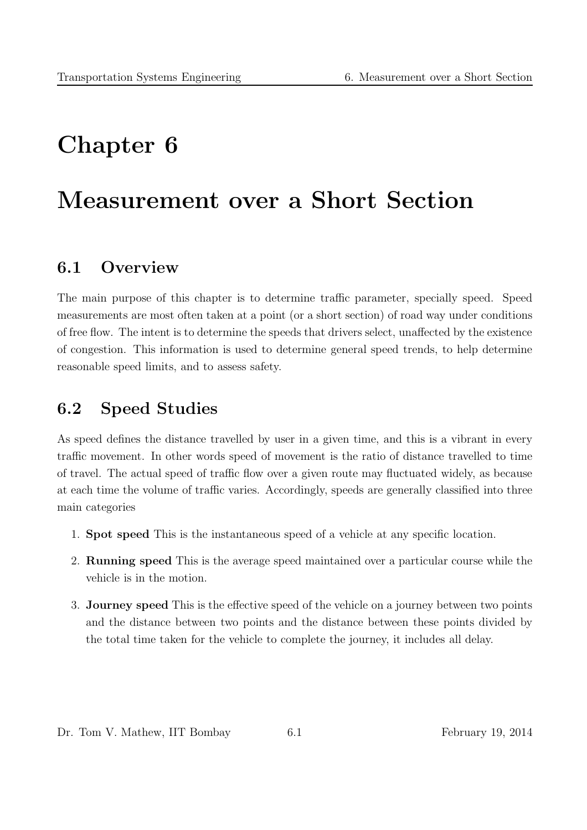# Chapter 6

# Measurement over a Short Section

### 6.1 Overview

The main purpose of this chapter is to determine traffic parameter, specially speed. Speed measurements are most often taken at a point (or a short section) of road way under conditions of free flow. The intent is to determine the speeds that drivers select, unaffected by the existence of congestion. This information is used to determine general speed trends, to help determine reasonable speed limits, and to assess safety.

### 6.2 Speed Studies

As speed defines the distance travelled by user in a given time, and this is a vibrant in every traffic movement. In other words speed of movement is the ratio of distance travelled to time of travel. The actual speed of traffic flow over a given route may fluctuated widely, as because at each time the volume of traffic varies. Accordingly, speeds are generally classified into three main categories

- 1. Spot speed This is the instantaneous speed of a vehicle at any specific location.
- 2. Running speed This is the average speed maintained over a particular course while the vehicle is in the motion.
- 3. Journey speed This is the effective speed of the vehicle on a journey between two points and the distance between two points and the distance between these points divided by the total time taken for the vehicle to complete the journey, it includes all delay.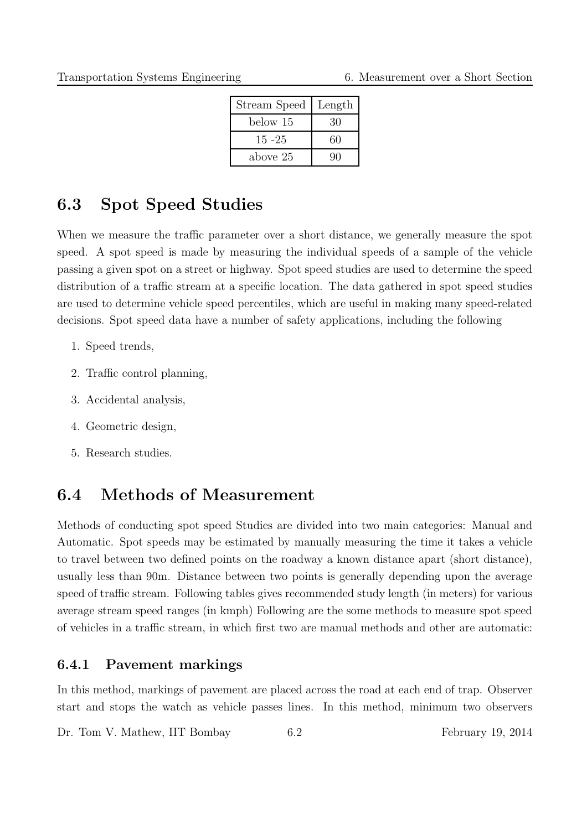| Stream Speed | Length |
|--------------|--------|
| below 15     | 30     |
| $15 - 25$    | 60     |
| above 25     | 90     |

### 6.3 Spot Speed Studies

When we measure the traffic parameter over a short distance, we generally measure the spot speed. A spot speed is made by measuring the individual speeds of a sample of the vehicle passing a given spot on a street or highway. Spot speed studies are used to determine the speed distribution of a traffic stream at a specific location. The data gathered in spot speed studies are used to determine vehicle speed percentiles, which are useful in making many speed-related decisions. Spot speed data have a number of safety applications, including the following

- 1. Speed trends,
- 2. Traffic control planning,
- 3. Accidental analysis,
- 4. Geometric design,
- 5. Research studies.

### 6.4 Methods of Measurement

Methods of conducting spot speed Studies are divided into two main categories: Manual and Automatic. Spot speeds may be estimated by manually measuring the time it takes a vehicle to travel between two defined points on the roadway a known distance apart (short distance), usually less than 90m. Distance between two points is generally depending upon the average speed of traffic stream. Following tables gives recommended study length (in meters) for various average stream speed ranges (in kmph) Following are the some methods to measure spot speed of vehicles in a traffic stream, in which first two are manual methods and other are automatic:

### 6.4.1 Pavement markings

In this method, markings of pavement are placed across the road at each end of trap. Observer start and stops the watch as vehicle passes lines. In this method, minimum two observers

Dr. Tom V. Mathew, IIT Bombay 6.2 February 19, 2014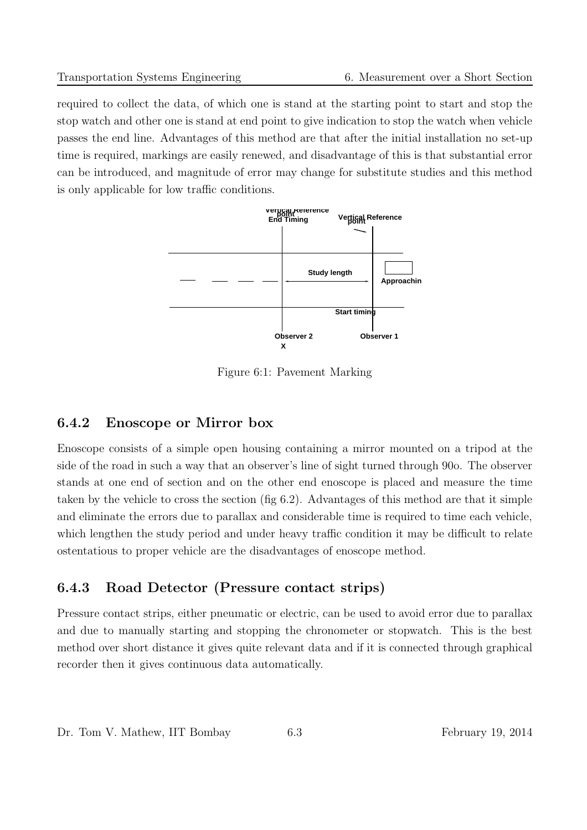required to collect the data, of which one is stand at the starting point to start and stop the stop watch and other one is stand at end point to give indication to stop the watch when vehicle passes the end line. Advantages of this method are that after the initial installation no set-up time is required, markings are easily renewed, and disadvantage of this is that substantial error can be introduced, and magnitude of error may change for substitute studies and this method is only applicable for low traffic conditions.



Figure 6:1: Pavement Marking

### 6.4.2 Enoscope or Mirror box

Enoscope consists of a simple open housing containing a mirror mounted on a tripod at the side of the road in such a way that an observer's line of sight turned through 90o. The observer stands at one end of section and on the other end enoscope is placed and measure the time taken by the vehicle to cross the section (fig 6.2). Advantages of this method are that it simple and eliminate the errors due to parallax and considerable time is required to time each vehicle, which lengthen the study period and under heavy traffic condition it may be difficult to relate ostentatious to proper vehicle are the disadvantages of enoscope method.

### 6.4.3 Road Detector (Pressure contact strips)

Pressure contact strips, either pneumatic or electric, can be used to avoid error due to parallax and due to manually starting and stopping the chronometer or stopwatch. This is the best method over short distance it gives quite relevant data and if it is connected through graphical recorder then it gives continuous data automatically.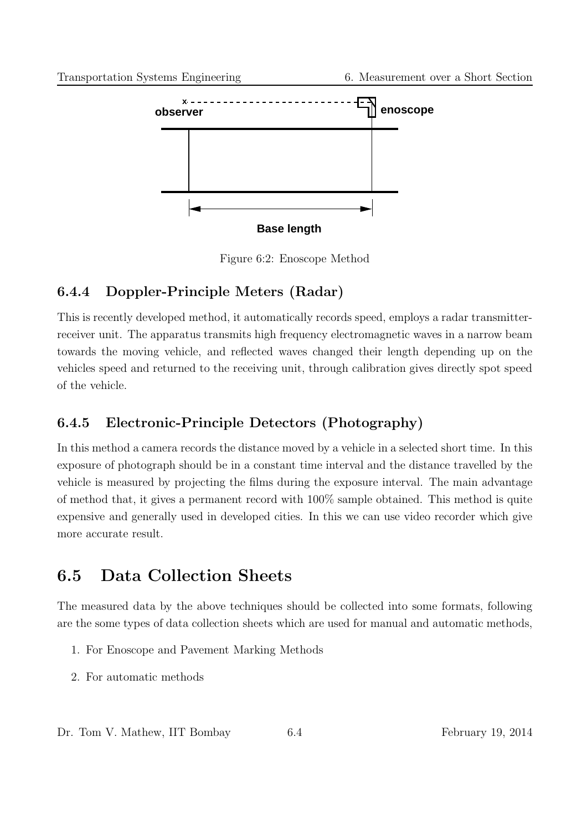

Figure 6:2: Enoscope Method

### 6.4.4 Doppler-Principle Meters (Radar)

This is recently developed method, it automatically records speed, employs a radar transmitterreceiver unit. The apparatus transmits high frequency electromagnetic waves in a narrow beam towards the moving vehicle, and reflected waves changed their length depending up on the vehicles speed and returned to the receiving unit, through calibration gives directly spot speed of the vehicle.

### 6.4.5 Electronic-Principle Detectors (Photography)

In this method a camera records the distance moved by a vehicle in a selected short time. In this exposure of photograph should be in a constant time interval and the distance travelled by the vehicle is measured by projecting the films during the exposure interval. The main advantage of method that, it gives a permanent record with 100% sample obtained. This method is quite expensive and generally used in developed cities. In this we can use video recorder which give more accurate result.

## 6.5 Data Collection Sheets

The measured data by the above techniques should be collected into some formats, following are the some types of data collection sheets which are used for manual and automatic methods,

- 1. For Enoscope and Pavement Marking Methods
- 2. For automatic methods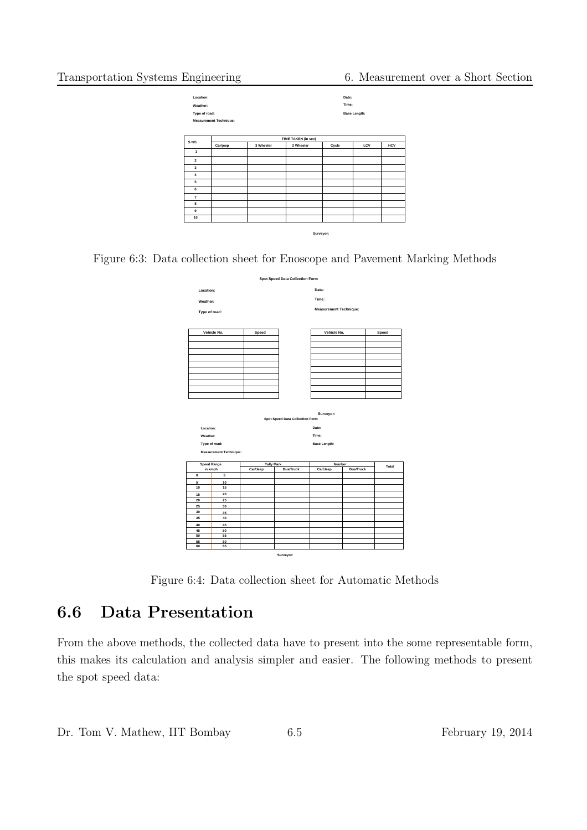

Figure 6:3: Data collection sheet for Enoscope and Pavement Marking Methods



Figure 6:4: Data collection sheet for Automatic Methods

### 6.6 Data Presentation

From the above methods, the collected data have to present into the some representable form, this makes its calculation and analysis simpler and easier. The following methods to present the spot speed data: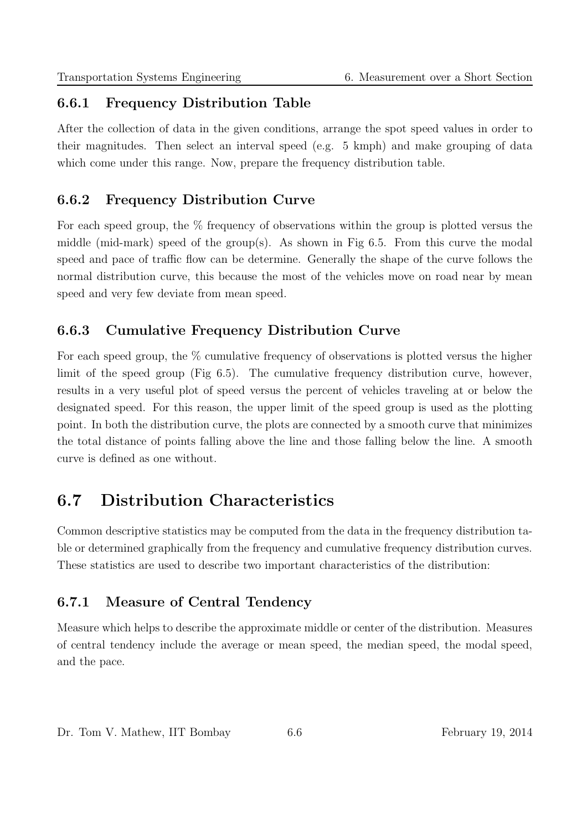### 6.6.1 Frequency Distribution Table

After the collection of data in the given conditions, arrange the spot speed values in order to their magnitudes. Then select an interval speed (e.g. 5 kmph) and make grouping of data which come under this range. Now, prepare the frequency distribution table.

### 6.6.2 Frequency Distribution Curve

For each speed group, the  $\%$  frequency of observations within the group is plotted versus the middle (mid-mark) speed of the group(s). As shown in Fig 6.5. From this curve the modal speed and pace of traffic flow can be determine. Generally the shape of the curve follows the normal distribution curve, this because the most of the vehicles move on road near by mean speed and very few deviate from mean speed.

### 6.6.3 Cumulative Frequency Distribution Curve

For each speed group, the % cumulative frequency of observations is plotted versus the higher limit of the speed group (Fig 6.5). The cumulative frequency distribution curve, however, results in a very useful plot of speed versus the percent of vehicles traveling at or below the designated speed. For this reason, the upper limit of the speed group is used as the plotting point. In both the distribution curve, the plots are connected by a smooth curve that minimizes the total distance of points falling above the line and those falling below the line. A smooth curve is defined as one without.

## 6.7 Distribution Characteristics

Common descriptive statistics may be computed from the data in the frequency distribution table or determined graphically from the frequency and cumulative frequency distribution curves. These statistics are used to describe two important characteristics of the distribution:

### 6.7.1 Measure of Central Tendency

Measure which helps to describe the approximate middle or center of the distribution. Measures of central tendency include the average or mean speed, the median speed, the modal speed, and the pace.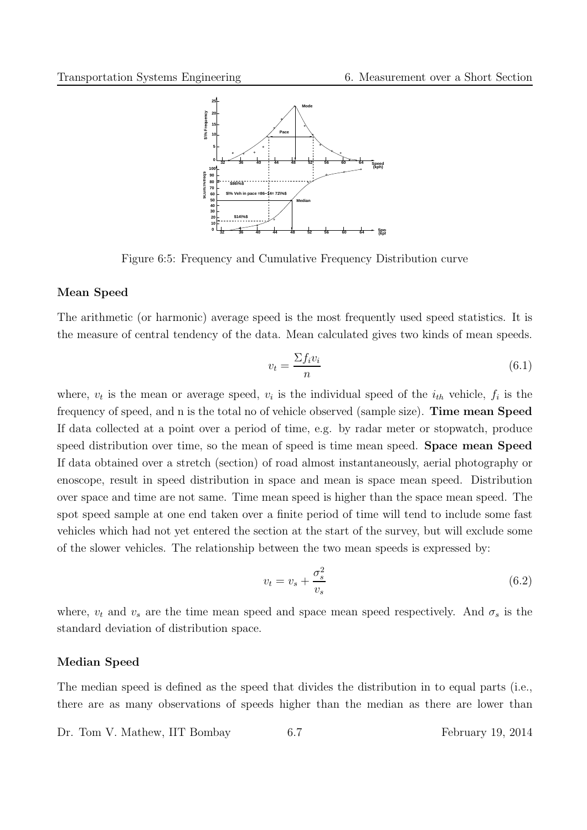

Figure 6:5: Frequency and Cumulative Frequency Distribution curve

#### Mean Speed

The arithmetic (or harmonic) average speed is the most frequently used speed statistics. It is the measure of central tendency of the data. Mean calculated gives two kinds of mean speeds.

$$
v_t = \frac{\sum f_i v_i}{n} \tag{6.1}
$$

where,  $v_t$  is the mean or average speed,  $v_i$  is the individual speed of the  $i_{th}$  vehicle,  $f_i$  is the frequency of speed, and n is the total no of vehicle observed (sample size). Time mean Speed If data collected at a point over a period of time, e.g. by radar meter or stopwatch, produce speed distribution over time, so the mean of speed is time mean speed. Space mean Speed If data obtained over a stretch (section) of road almost instantaneously, aerial photography or enoscope, result in speed distribution in space and mean is space mean speed. Distribution over space and time are not same. Time mean speed is higher than the space mean speed. The spot speed sample at one end taken over a finite period of time will tend to include some fast vehicles which had not yet entered the section at the start of the survey, but will exclude some of the slower vehicles. The relationship between the two mean speeds is expressed by:

$$
v_t = v_s + \frac{\sigma_s^2}{v_s} \tag{6.2}
$$

where,  $v_t$  and  $v_s$  are the time mean speed and space mean speed respectively. And  $\sigma_s$  is the standard deviation of distribution space.

#### Median Speed

The median speed is defined as the speed that divides the distribution in to equal parts (i.e., there are as many observations of speeds higher than the median as there are lower than

Dr. Tom V. Mathew, IIT Bombay 6.7 February 19, 2014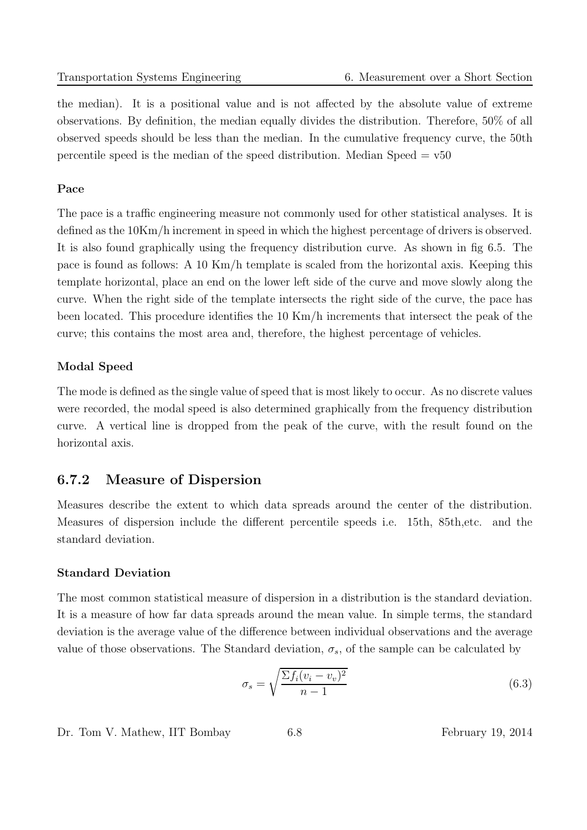the median). It is a positional value and is not affected by the absolute value of extreme observations. By definition, the median equally divides the distribution. Therefore, 50% of all observed speeds should be less than the median. In the cumulative frequency curve, the 50th percentile speed is the median of the speed distribution. Median Speed  $= v50$ 

#### Pace

The pace is a traffic engineering measure not commonly used for other statistical analyses. It is defined as the 10Km/h increment in speed in which the highest percentage of drivers is observed. It is also found graphically using the frequency distribution curve. As shown in fig 6.5. The pace is found as follows: A 10 Km/h template is scaled from the horizontal axis. Keeping this template horizontal, place an end on the lower left side of the curve and move slowly along the curve. When the right side of the template intersects the right side of the curve, the pace has been located. This procedure identifies the 10 Km/h increments that intersect the peak of the curve; this contains the most area and, therefore, the highest percentage of vehicles.

#### Modal Speed

The mode is defined as the single value of speed that is most likely to occur. As no discrete values were recorded, the modal speed is also determined graphically from the frequency distribution curve. A vertical line is dropped from the peak of the curve, with the result found on the horizontal axis.

#### 6.7.2 Measure of Dispersion

Measures describe the extent to which data spreads around the center of the distribution. Measures of dispersion include the different percentile speeds i.e. 15th, 85th,etc. and the standard deviation.

#### Standard Deviation

The most common statistical measure of dispersion in a distribution is the standard deviation. It is a measure of how far data spreads around the mean value. In simple terms, the standard deviation is the average value of the difference between individual observations and the average value of those observations. The Standard deviation,  $\sigma_s$ , of the sample can be calculated by

$$
\sigma_s = \sqrt{\frac{\sum f_i (v_i - v_v)^2}{n - 1}}\tag{6.3}
$$

Dr. Tom V. Mathew, IIT Bombay 6.8 February 19, 2014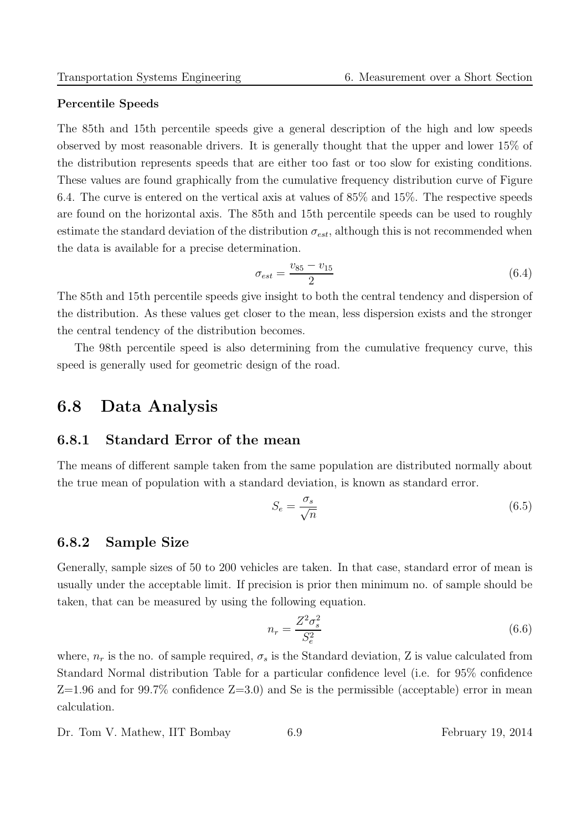#### Percentile Speeds

The 85th and 15th percentile speeds give a general description of the high and low speeds observed by most reasonable drivers. It is generally thought that the upper and lower 15% of the distribution represents speeds that are either too fast or too slow for existing conditions. These values are found graphically from the cumulative frequency distribution curve of Figure 6.4. The curve is entered on the vertical axis at values of 85% and 15%. The respective speeds are found on the horizontal axis. The 85th and 15th percentile speeds can be used to roughly estimate the standard deviation of the distribution  $\sigma_{est}$ , although this is not recommended when the data is available for a precise determination.

$$
\sigma_{est} = \frac{v_{85} - v_{15}}{2} \tag{6.4}
$$

The 85th and 15th percentile speeds give insight to both the central tendency and dispersion of the distribution. As these values get closer to the mean, less dispersion exists and the stronger the central tendency of the distribution becomes.

The 98th percentile speed is also determining from the cumulative frequency curve, this speed is generally used for geometric design of the road.

### 6.8 Data Analysis

#### 6.8.1 Standard Error of the mean

The means of different sample taken from the same population are distributed normally about the true mean of population with a standard deviation, is known as standard error.

$$
S_e = \frac{\sigma_s}{\sqrt{n}}\tag{6.5}
$$

#### 6.8.2 Sample Size

Generally, sample sizes of 50 to 200 vehicles are taken. In that case, standard error of mean is usually under the acceptable limit. If precision is prior then minimum no. of sample should be taken, that can be measured by using the following equation.

$$
n_r = \frac{Z^2 \sigma_s^2}{S_e^2} \tag{6.6}
$$

where,  $n_r$  is the no. of sample required,  $\sigma_s$  is the Standard deviation, Z is value calculated from Standard Normal distribution Table for a particular confidence level (i.e. for 95% confidence  $Z=1.96$  and for 99.7% confidence  $Z=3.0$  and Se is the permissible (acceptable) error in mean calculation.

Dr. Tom V. Mathew, IIT Bombay 6.9 February 19, 2014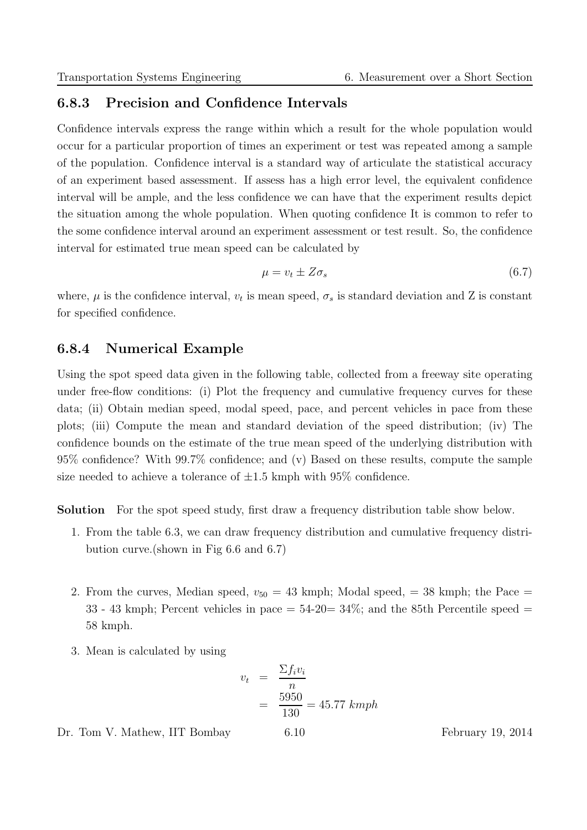### 6.8.3 Precision and Confidence Intervals

Confidence intervals express the range within which a result for the whole population would occur for a particular proportion of times an experiment or test was repeated among a sample of the population. Confidence interval is a standard way of articulate the statistical accuracy of an experiment based assessment. If assess has a high error level, the equivalent confidence interval will be ample, and the less confidence we can have that the experiment results depict the situation among the whole population. When quoting confidence It is common to refer to the some confidence interval around an experiment assessment or test result. So, the confidence interval for estimated true mean speed can be calculated by

$$
\mu = v_t \pm Z \sigma_s \tag{6.7}
$$

where,  $\mu$  is the confidence interval,  $v_t$  is mean speed,  $\sigma_s$  is standard deviation and Z is constant for specified confidence.

#### 6.8.4 Numerical Example

Using the spot speed data given in the following table, collected from a freeway site operating under free-flow conditions: (i) Plot the frequency and cumulative frequency curves for these data; (ii) Obtain median speed, modal speed, pace, and percent vehicles in pace from these plots; (iii) Compute the mean and standard deviation of the speed distribution; (iv) The confidence bounds on the estimate of the true mean speed of the underlying distribution with 95% confidence? With 99.7% confidence; and (v) Based on these results, compute the sample size needed to achieve a tolerance of  $\pm 1.5$  kmph with 95% confidence.

Solution For the spot speed study, first draw a frequency distribution table show below.

- 1. From the table 6.3, we can draw frequency distribution and cumulative frequency distribution curve.(shown in Fig 6.6 and 6.7)
- 2. From the curves, Median speed,  $v_{50} = 43$  kmph; Modal speed,  $v_{50} = 38$  kmph; the Pace  $=$ 33 - 43 kmph; Percent vehicles in pace  $= 54-20= 34\%$ ; and the 85th Percentile speed  $=$ 58 kmph.
- 3. Mean is calculated by using

$$
v_t = \frac{\sum f_i v_i}{n}
$$
  
=  $\frac{5950}{130}$  = 45.77 kmph

Dr. Tom V. Mathew, IIT Bombay 6.10 February 19, 2014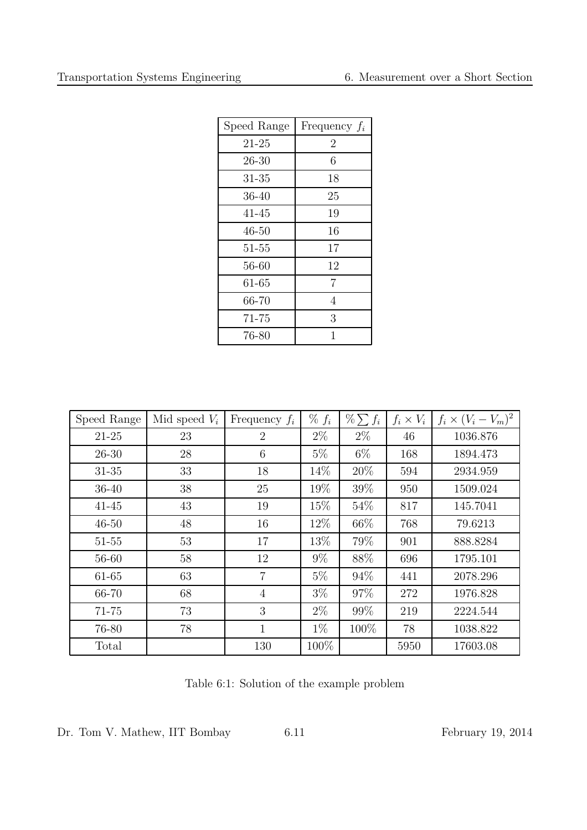| Speed Range | Frequency $f_i$ |
|-------------|-----------------|
| $21 - 25$   | $\overline{2}$  |
| $26 - 30$   | 6               |
| $31 - 35$   | 18              |
| 36-40       | 25              |
| 41-45       | 19              |
| 46-50       | 16              |
| $51 - 55$   | 17              |
| 56-60       | 12              |
| 61-65       | 7               |
| 66-70       | 4               |
| 71-75       | 3               |
| 76-80       | 1               |

| Speed Range | Mid speed $V_i$ | Frequency $f_i$ | $\% f_i$ | $\% \sum f_i$ | $f_i \times V_i$ | $f_i \times (V_i - V_m)^2$ |
|-------------|-----------------|-----------------|----------|---------------|------------------|----------------------------|
| $21 - 25$   | 23              | $\overline{2}$  | $2\%$    | $2\%$         | 46               | 1036.876                   |
| $26 - 30$   | 28              | 6               | $5\%$    | 6\%           | 168              | 1894.473                   |
| $31 - 35$   | 33              | 18              | 14%      | 20%           | 594              | 2934.959                   |
| $36 - 40$   | 38              | 25              | 19%      | 39%           | 950              | 1509.024                   |
| $41 - 45$   | 43              | 19              | 15%      | 54\%          | 817              | 145.7041                   |
| $46 - 50$   | 48              | 16              | 12\%     | 66\%          | 768              | 79.6213                    |
| $51 - 55$   | 53              | 17              | 13%      | 79%           | 901              | 888.8284                   |
| 56-60       | 58              | 12              | $9\%$    | 88%           | 696              | 1795.101                   |
| 61-65       | 63              | $\overline{7}$  | $5\%$    | 94%           | 441              | 2078.296                   |
| 66-70       | 68              | $\overline{4}$  | $3\%$    | 97%           | 272              | 1976.828                   |
| 71-75       | 73              | 3               | $2\%$    | 99%           | 219              | 2224.544                   |
| 76-80       | 78              | $\mathbf 1$     | $1\%$    | 100\%         | 78               | 1038.822                   |
| Total       |                 | 130             | 100%     |               | 5950             | 17603.08                   |

Table 6:1: Solution of the example problem

Dr. Tom V. Mathew, IIT Bombay 6.11 February 19, 2014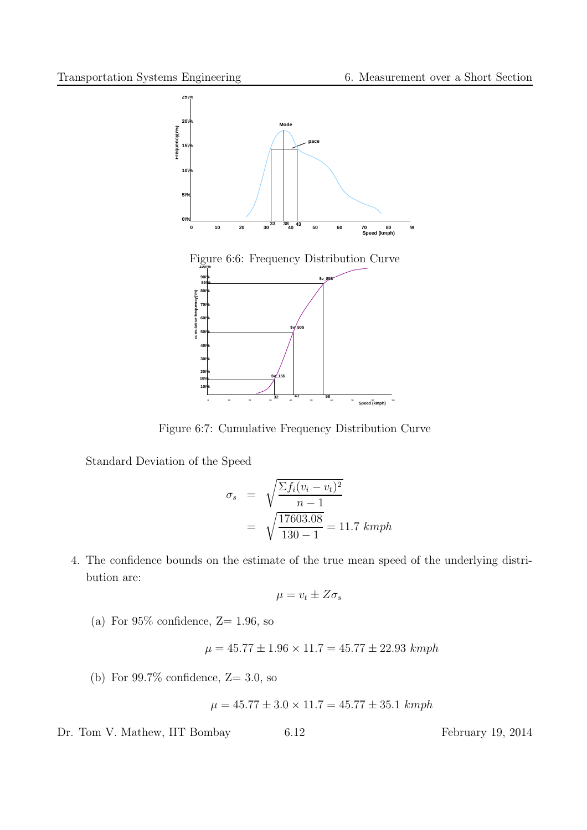

Figure 6:7: Cumulative Frequency Distribution Curve

Standard Deviation of the Speed

$$
\sigma_s = \sqrt{\frac{\sum f_i (v_i - v_t)^2}{n - 1}}
$$

$$
= \sqrt{\frac{17603.08}{130 - 1}} = 11.7 \text{ kmph}
$$

4. The confidence bounds on the estimate of the true mean speed of the underlying distribution are:

$$
\mu = v_t \pm Z \sigma_s
$$

(a) For  $95\%$  confidence,  $Z=1.96$ , so

$$
\mu = 45.77 \pm 1.96 \times 11.7 = 45.77 \pm 22.93 \; kmph
$$

(b) For  $99.7\%$  confidence,  $Z=3.0$ , so

$$
\mu = 45.77 \pm 3.0 \times 11.7 = 45.77 \pm 35.1 \ kmph
$$

Dr. Tom V. Mathew, IIT Bombay 6.12 February 19, 2014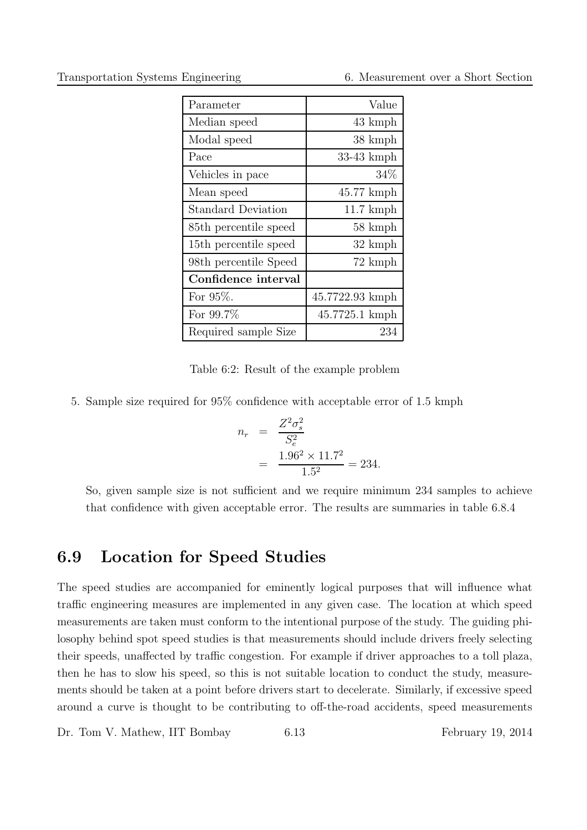Transportation Systems Engineering 6. Measurement over a Short Section

| Parameter                 | Value               |
|---------------------------|---------------------|
| Median speed              | 43 kmph             |
| Modal speed               | 38 kmph             |
| Pace                      | $33-43$ kmph        |
| Vehicles in pace          | 34\%                |
| Mean speed                | $45.77$ kmph        |
| <b>Standard Deviation</b> | $11.7 \text{ kmph}$ |
| 85th percentile speed     | 58 kmph             |
| 15th percentile speed     | 32 kmph             |
| 98th percentile Speed     | 72 kmph             |
| Confidence interval       |                     |
| For $95\%$ .              | 45.7722.93 kmph     |
| For $99.7\%$              | 45.7725.1 kmph      |
| Required sample Size      | 234                 |

Table 6:2: Result of the example problem

5. Sample size required for 95% confidence with acceptable error of 1.5 kmph

$$
n_r = \frac{Z^2 \sigma_s^2}{S_e^2}
$$
  
= 
$$
\frac{1.96^2 \times 11.7^2}{1.5^2} = 234.
$$

So, given sample size is not sufficient and we require minimum 234 samples to achieve that confidence with given acceptable error. The results are summaries in table 6.8.4

### 6.9 Location for Speed Studies

The speed studies are accompanied for eminently logical purposes that will influence what traffic engineering measures are implemented in any given case. The location at which speed measurements are taken must conform to the intentional purpose of the study. The guiding philosophy behind spot speed studies is that measurements should include drivers freely selecting their speeds, unaffected by traffic congestion. For example if driver approaches to a toll plaza, then he has to slow his speed, so this is not suitable location to conduct the study, measurements should be taken at a point before drivers start to decelerate. Similarly, if excessive speed around a curve is thought to be contributing to off-the-road accidents, speed measurements

Dr. Tom V. Mathew, IIT Bombay 6.13 February 19, 2014